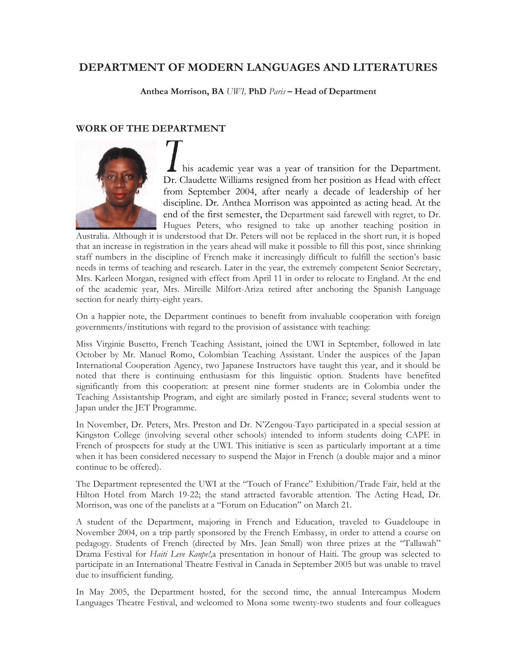# **DEPARTMENT OF MODERN LANGUAGES AND LITERATURES**

**Anthea Morrison, BA** *UWI,* **PhD** *Paris* **– Head of Department** 

# **WORK OF THE DEPARTMENT**



his academic year was a year of transition for the Department. Dr. Claudette Williams resigned from her position as Head with effect from September 2004, after nearly a decade of leadership of her discipline. Dr. Anthea Morrison was appointed as acting head. At the end of the first semester, the Department said farewell with regret, to Dr. Hugues Peters, who resigned to take up another teaching position in

Australia. Although it is understood that Dr. Peters will not be replaced in the short run, it is hoped that an increase in registration in the years ahead will make it possible to fill this post, since shrinking staff numbers in the discipline of French make it increasingly difficult to fulfill the section's basic needs in terms of teaching and research. Later in the year, the extremely competent Senior Secretary, Mrs. Karleen Morgan, resigned with effect from April 11 in order to relocate to England. At the end of the academic year, Mrs. Mireille Milfort-Ariza retired after anchoring the Spanish Language section for nearly thirty-eight years.

On a happier note, the Department continues to benefit from invaluable cooperation with foreign governments/institutions with regard to the provision of assistance with teaching:

Miss Virginie Busetto, French Teaching Assistant, joined the UWI in September, followed in late October by Mr. Manuel Romo, Colombian Teaching Assistant. Under the auspices of the Japan International Cooperation Agency, two Japanese Instructors have taught this year, and it should be noted that there is continuing enthusiasm for this linguistic option. Students have benefited significantly from this cooperation: at present nine former students are in Colombia under the Teaching Assistantship Program, and eight are similarly posted in France; several students went to Japan under the JET Programme.

In November, Dr. Peters, Mrs. Preston and Dr. N'Zengou-Tayo participated in a special session at Kingston College (involving several other schools) intended to inform students doing CAPE in French of prospects for study at the UWI. This initiative is seen as particularly important at a time when it has been considered necessary to suspend the Major in French (a double major and a minor continue to be offered).

The Department represented the UWI at the "Touch of France" Exhibition/Trade Fair, held at the Hilton Hotel from March 19-22; the stand attracted favorable attention. The Acting Head, Dr. Morrison, was one of the panelists at a "Forum on Education" on March 21.

A student of the Department, majoring in French and Education, traveled to Guadeloupe in November 2004, on a trip partly sponsored by the French Embassy, in order to attend a course on pedagogy. Students of French (directed by Mrs. Jean Small) won three prizes at the "Tallawah" Drama Festival for *Haiti Leve Kanpe!*,a presentation in honour of Haiti. The group was selected to participate in an International Theatre Festival in Canada in September 2005 but was unable to travel due to insufficient funding.

In May 2005, the Department hosted, for the second time, the annual Intercampus Modern Languages Theatre Festival, and welcomed to Mona some twenty-two students and four colleagues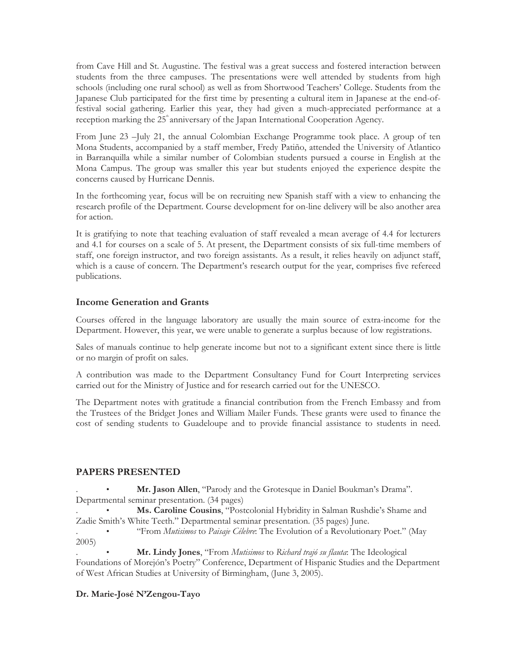from Cave Hill and St. Augustine. The festival was a great success and fostered interaction between students from the three campuses. The presentations were well attended by students from high schools (including one rural school) as well as from Shortwood Teachers' College. Students from the Japanese Club participated for the first time by presenting a cultural item in Japanese at the end-offestival social gathering. Earlier this year, they had given a much-appreciated performance at a reception marking the 25<sup>th</sup> anniversary of the Japan International Cooperation Agency.

From June 23 –July 21, the annual Colombian Exchange Programme took place. A group of ten Mona Students, accompanied by a staff member, Fredy Patiño, attended the University of Atlantico in Barranquilla while a similar number of Colombian students pursued a course in English at the Mona Campus. The group was smaller this year but students enjoyed the experience despite the concerns caused by Hurricane Dennis.

In the forthcoming year, focus will be on recruiting new Spanish staff with a view to enhancing the research profile of the Department. Course development for on-line delivery will be also another area for action.

It is gratifying to note that teaching evaluation of staff revealed a mean average of 4.4 for lecturers and 4.1 for courses on a scale of 5. At present, the Department consists of six full-time members of staff, one foreign instructor, and two foreign assistants. As a result, it relies heavily on adjunct staff, which is a cause of concern. The Department's research output for the year, comprises five refereed publications.

# **Income Generation and Grants**

Courses offered in the language laboratory are usually the main source of extra-income for the Department. However, this year, we were unable to generate a surplus because of low registrations.

Sales of manuals continue to help generate income but not to a significant extent since there is little or no margin of profit on sales.

A contribution was made to the Department Consultancy Fund for Court Interpreting services carried out for the Ministry of Justice and for research carried out for the UNESCO.

The Department notes with gratitude a financial contribution from the French Embassy and from the Trustees of the Bridget Jones and William Mailer Funds. These grants were used to finance the cost of sending students to Guadeloupe and to provide financial assistance to students in need.

### **PAPERS PRESENTED**

. • **Mr. Jason Allen**, "Parody and the Grotesque in Daniel Boukman's Drama". Departmental seminar presentation. (34 pages)

. • **Ms. Caroline Cousins**, "Postcolonial Hybridity in Salman Rushdie's Shame and Zadie Smith's White Teeth." Departmental seminar presentation. (35 pages) June.

. • "From *Mutisimos* to *Paisaje Célebre*: The Evolution of a Revolutionary Poet." (May 2005)

. • **Mr. Lindy Jones**, "From *Mutisimos* to *Richard trajó su flauta*: The Ideological Foundations of Morejón's Poetry" Conference, Department of Hispanic Studies and the Department of West African Studies at University of Birmingham, (June 3, 2005).

### **Dr. Marie-José N'Zengou-Tayo**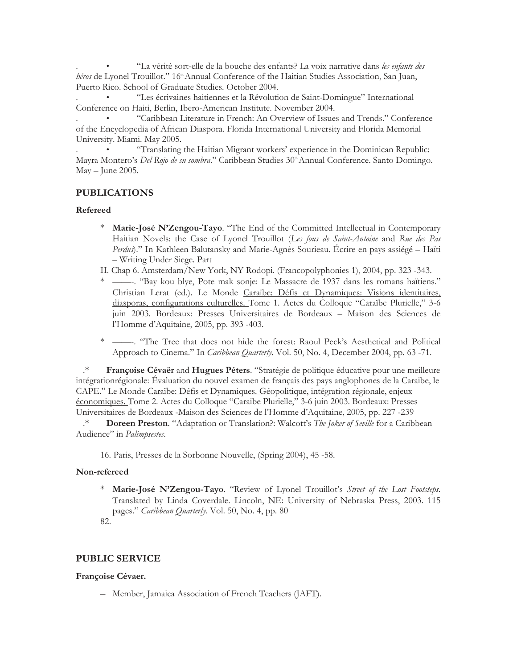. • "La vérité sort-elle de la bouche des enfants? La voix narrative dans *les enfants des*  héros de Lyonel Trouillot." 16<sup>th</sup> Annual Conference of the Haitian Studies Association, San Juan, Puerto Rico. School of Graduate Studies. October 2004.

. • "Les écrivaines haitiennes et la Révolution de Saint-Domingue" International Conference on Haiti, Berlin, Ibero-American Institute. November 2004.

. • "Caribbean Literature in French: An Overview of Issues and Trends." Conference of the Encyclopedia of African Diaspora. Florida International University and Florida Memorial University. Miami. May 2005.

. • "Translating the Haitian Migrant workers' experience in the Dominican Republic: Mayra Montero's *Del Rojo de su sombra*." Caribbean Studies 30<sup>th</sup> Annual Conference. Santo Domingo. May – June 2005.

# **PUBLICATIONS**

#### **Refereed**

- Marie-José N'Zengou-Tayo. "The End of the Committed Intellectual in Contemporary Haitian Novels: the Case of Lyonel Trouillot (*Les fous de Saint-Antoine* and *Rue des Pas Perdus*)." In Kathleen Balutansky and Marie-Agnès Sourieau. Écrire en pays assiégé – Haïti – Writing Under Siege. Part
- II. Chap 6. Amsterdam/New York, NY Rodopi. (Francopolyphonies 1), 2004, pp. 323 -343.
- \* ——-. "Bay kou blye, Pote mak sonje: Le Massacre de 1937 dans les romans haïtiens." Christian Lerat (ed.). Le Monde Caraïbe: Défis et Dynamiques: Visions identitaires, diasporas, configurations culturelles. Tome 1. Actes du Colloque "Caraïbe Plurielle," 3-6 juin 2003. Bordeaux: Presses Universitaires de Bordeaux – Maison des Sciences de l'Homme d'Aquitaine, 2005, pp. 393 -403.

\* ——-. "The Tree that does not hide the forest: Raoul Peck's Aesthetical and Political Approach to Cinema." In *Caribbean Quarterly*. Vol. 50, No. 4, December 2004, pp. 63 -71.

.\* **Françoise Cévaër** and **Hugues Péters**. "Stratégie de politique éducative pour une meilleure intégrationrégionale: Évaluation du nouvel examen de français des pays anglophones de la Caraïbe, le CAPE." Le Monde Caraïbe: Défis et Dynamiques. Géopolitique, intégration régionale, enjeux économiques. Tome 2. Actes du Colloque "Caraïbe Plurielle," 3-6 juin 2003. Bordeaux: Presses Universitaires de Bordeaux -Maison des Sciences de l'Homme d'Aquitaine, 2005, pp. 227 -239 .\* **Doreen Preston**. "Adaptation or Translation?: Walcott's *The Joker of Seville* for a Caribbean

Audience" in *Palimpsestes*.

16. Paris, Presses de la Sorbonne Nouvelle, (Spring 2004), 45 -58.

### **Non-refereed**

\* **Marie-José N'Zengou-Tayo**. "Review of Lyonel Trouillot's *Street of the Lost Footsteps*. Translated by Linda Coverdale. Lincoln, NE: University of Nebraska Press, 2003. 115 pages." *Caribbean Quarterly.* Vol. 50, No. 4, pp. 80 82.

### **PUBLIC SERVICE**

### **Françoise Cévaer.**

– Member, Jamaica Association of French Teachers (JAFT).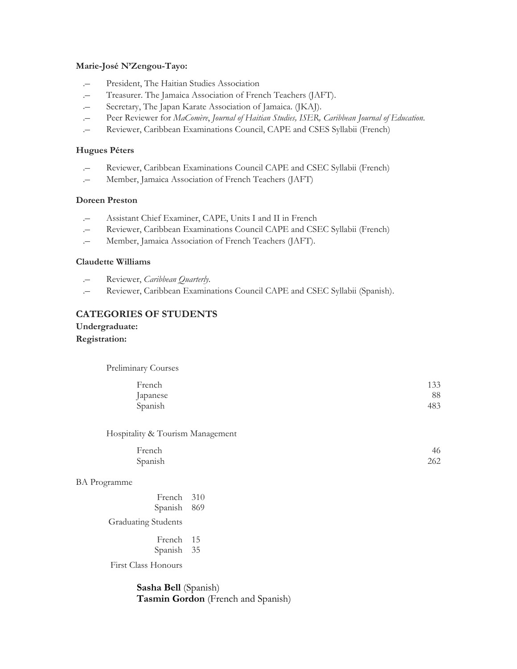#### **Marie-José N'Zengou-Tayo:**

- .– President, The Haitian Studies Association
- .– Treasurer. The Jamaica Association of French Teachers (JAFT).
- .– Secretary, The Japan Karate Association of Jamaica. (JKAJ).
- .– Peer Reviewer for *MaComère*, *Journal of Haitian Studies, ISER, Caribbean Journal of Education*.
- .– Reviewer, Caribbean Examinations Council, CAPE and CSES Syllabii (French)

#### **Hugues Péters**

- .– Reviewer, Caribbean Examinations Council CAPE and CSEC Syllabii (French)
- .– Member, Jamaica Association of French Teachers (JAFT)

#### **Doreen Preston**

- .– Assistant Chief Examiner, CAPE, Units I and II in French
- .– Reviewer, Caribbean Examinations Council CAPE and CSEC Syllabii (French)
- .– Member, Jamaica Association of French Teachers (JAFT).

#### **Claudette Williams**

- .– Reviewer, *Caribbean Quarterly*.
- .– Reviewer, Caribbean Examinations Council CAPE and CSEC Syllabii (Spanish).

### **CATEGORIES OF STUDENTS**

**Undergraduate: Registration:** 

Preliminary Courses

| French   | 133 |
|----------|-----|
| Japanese | 88  |
| Spanish  | 483 |

Hospitality & Tourism Management

| French  | 46  |
|---------|-----|
| Spanish | 262 |

#### BA Programme

| French  | 310 |
|---------|-----|
| Spanish | 869 |

Graduating Students

French 15 Spanish 35

First Class Honours

**Sasha Bell** (Spanish) **Tasmin Gordon** (French and Spanish)